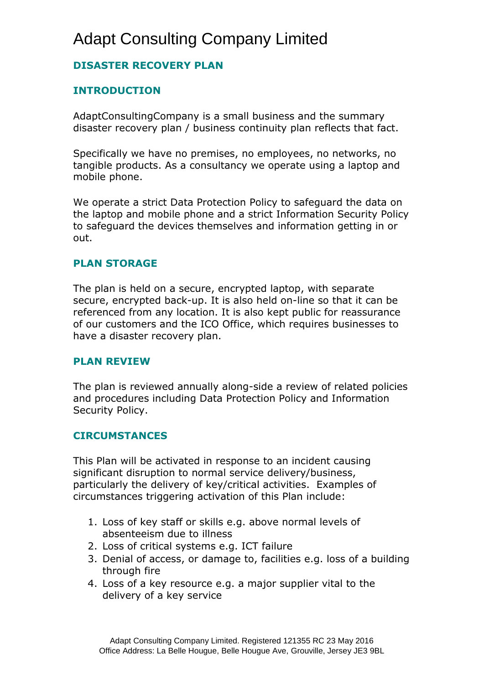## Adapt Consulting Company Limited

## **DISASTER RECOVERY PLAN**

### **INTRODUCTION**

AdaptConsultingCompany is a small business and the summary disaster recovery plan / business continuity plan reflects that fact.

Specifically we have no premises, no employees, no networks, no tangible products. As a consultancy we operate using a laptop and mobile phone.

We operate a strict Data Protection Policy to safeguard the data on the laptop and mobile phone and a strict Information Security Policy to safeguard the devices themselves and information getting in or out.

#### **PLAN STORAGE**

The plan is held on a secure, encrypted laptop, with separate secure, encrypted back-up. It is also held on-line so that it can be referenced from any location. It is also kept public for reassurance of our customers and the ICO Office, which requires businesses to have a disaster recovery plan.

#### **PLAN REVIEW**

The plan is reviewed annually along-side a review of related policies and procedures including Data Protection Policy and Information Security Policy.

#### **CIRCUMSTANCES**

This Plan will be activated in response to an incident causing significant disruption to normal service delivery/business, particularly the delivery of key/critical activities. Examples of circumstances triggering activation of this Plan include:

- 1. Loss of key staff or skills e.g. above normal levels of absenteeism due to illness
- 2. Loss of critical systems e.g. ICT failure
- 3. Denial of access, or damage to, facilities e.g. loss of a building through fire
- 4. Loss of a key resource e.g. a major supplier vital to the delivery of a key service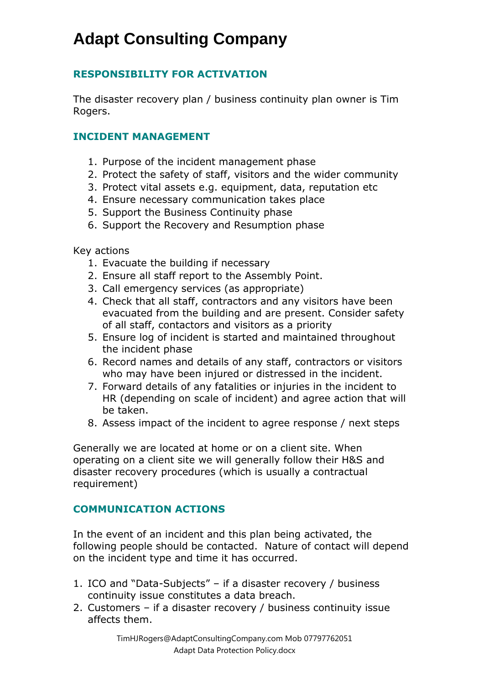## **RESPONSIBILITY FOR ACTIVATION**

The disaster recovery plan / business continuity plan owner is Tim Rogers.

### **INCIDENT MANAGEMENT**

- 1. Purpose of the incident management phase
- 2. Protect the safety of staff, visitors and the wider community
- 3. Protect vital assets e.g. equipment, data, reputation etc
- 4. Ensure necessary communication takes place
- 5. Support the Business Continuity phase
- 6. Support the Recovery and Resumption phase

Key actions

- 1. Evacuate the building if necessary
- 2. Ensure all staff report to the Assembly Point.
- 3. Call emergency services (as appropriate)
- 4. Check that all staff, contractors and any visitors have been evacuated from the building and are present. Consider safety of all staff, contactors and visitors as a priority
- 5. Ensure log of incident is started and maintained throughout the incident phase
- 6. Record names and details of any staff, contractors or visitors who may have been injured or distressed in the incident.
- 7. Forward details of any fatalities or injuries in the incident to HR (depending on scale of incident) and agree action that will be taken.
- 8. Assess impact of the incident to agree response / next steps

Generally we are located at home or on a client site. When operating on a client site we will generally follow their H&S and disaster recovery procedures (which is usually a contractual requirement)

### **COMMUNICATION ACTIONS**

In the event of an incident and this plan being activated, the following people should be contacted. Nature of contact will depend on the incident type and time it has occurred.

- 1. ICO and "Data-Subjects" if a disaster recovery / business continuity issue constitutes a data breach.
- 2. Customers if a disaster recovery / business continuity issue affects them.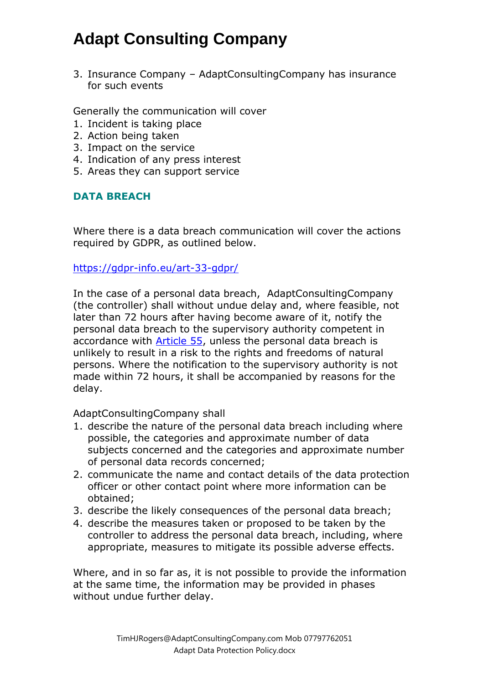3. Insurance Company – AdaptConsultingCompany has insurance for such events

Generally the communication will cover

- 1. Incident is taking place
- 2. Action being taken
- 3. Impact on the service
- 4. Indication of any press interest
- 5. Areas they can support service

## **DATA BREACH**

Where there is a data breach communication will cover the actions required by GDPR, as outlined below.

<https://gdpr-info.eu/art-33-gdpr/>

In the case of a personal data breach, AdaptConsultingCompany (the controller) shall without undue delay and, where feasible, not later than 72 hours after having become aware of it, notify the personal data breach to the supervisory authority competent in accordance with [Article 55,](https://gdpr-info.eu/art-55-gdpr/) unless the personal data breach is unlikely to result in a risk to the rights and freedoms of natural persons. Where the notification to the supervisory authority is not made within 72 hours, it shall be accompanied by reasons for the delay.

#### AdaptConsultingCompany shall

- 1. describe the nature of the personal data breach including where possible, the categories and approximate number of data subjects concerned and the categories and approximate number of personal data records concerned;
- 2. communicate the name and contact details of the data protection officer or other contact point where more information can be obtained;
- 3. describe the likely consequences of the personal data breach;
- 4. describe the measures taken or proposed to be taken by the controller to address the personal data breach, including, where appropriate, measures to mitigate its possible adverse effects.

Where, and in so far as, it is not possible to provide the information at the same time, the information may be provided in phases without undue further delay.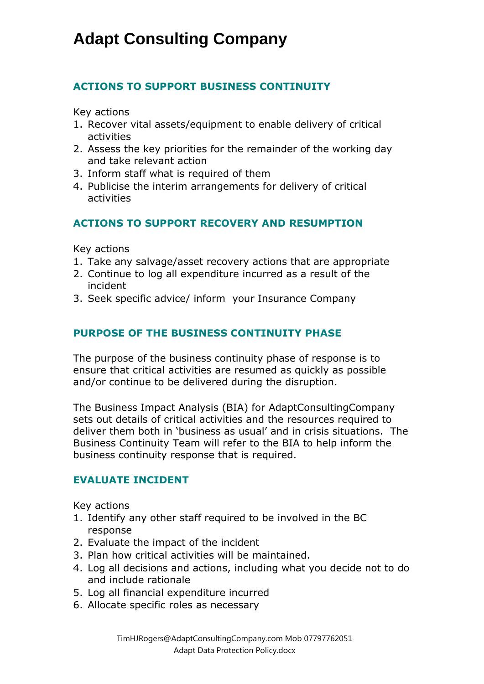## **ACTIONS TO SUPPORT BUSINESS CONTINUITY**

Key actions

- 1. Recover vital assets/equipment to enable delivery of critical activities
- 2. Assess the key priorities for the remainder of the working day and take relevant action
- 3. Inform staff what is required of them
- 4. Publicise the interim arrangements for delivery of critical activities

## **ACTIONS TO SUPPORT RECOVERY AND RESUMPTION**

Key actions

- 1. Take any salvage/asset recovery actions that are appropriate
- 2. Continue to log all expenditure incurred as a result of the incident
- 3. Seek specific advice/ inform your Insurance Company

## **PURPOSE OF THE BUSINESS CONTINUITY PHASE**

The purpose of the business continuity phase of response is to ensure that critical activities are resumed as quickly as possible and/or continue to be delivered during the disruption.

The Business Impact Analysis (BIA) for AdaptConsultingCompany sets out details of critical activities and the resources required to deliver them both in 'business as usual' and in crisis situations. The Business Continuity Team will refer to the BIA to help inform the business continuity response that is required.

#### **EVALUATE INCIDENT**

Key actions

- 1. Identify any other staff required to be involved in the BC response
- 2. Evaluate the impact of the incident
- 3. Plan how critical activities will be maintained.
- 4. Log all decisions and actions, including what you decide not to do and include rationale
- 5. Log all financial expenditure incurred
- 6. Allocate specific roles as necessary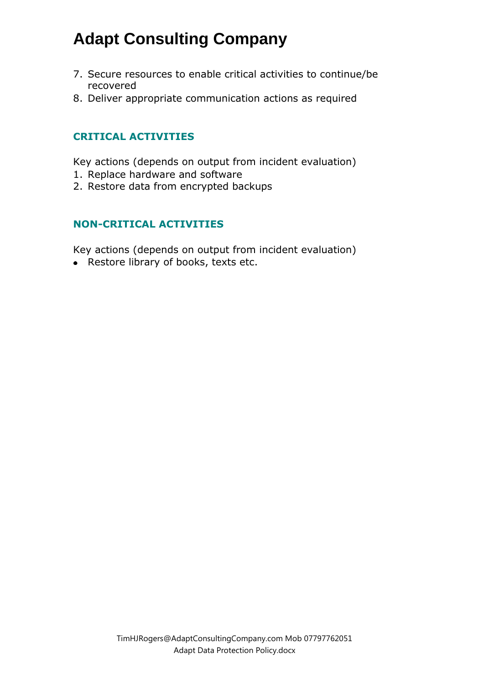- 7. Secure resources to enable critical activities to continue/be recovered
- 8. Deliver appropriate communication actions as required

### **CRITICAL ACTIVITIES**

Key actions (depends on output from incident evaluation)

- 1. Replace hardware and software
- 2. Restore data from encrypted backups

### **NON-CRITICAL ACTIVITIES**

Key actions (depends on output from incident evaluation)

• Restore library of books, texts etc.